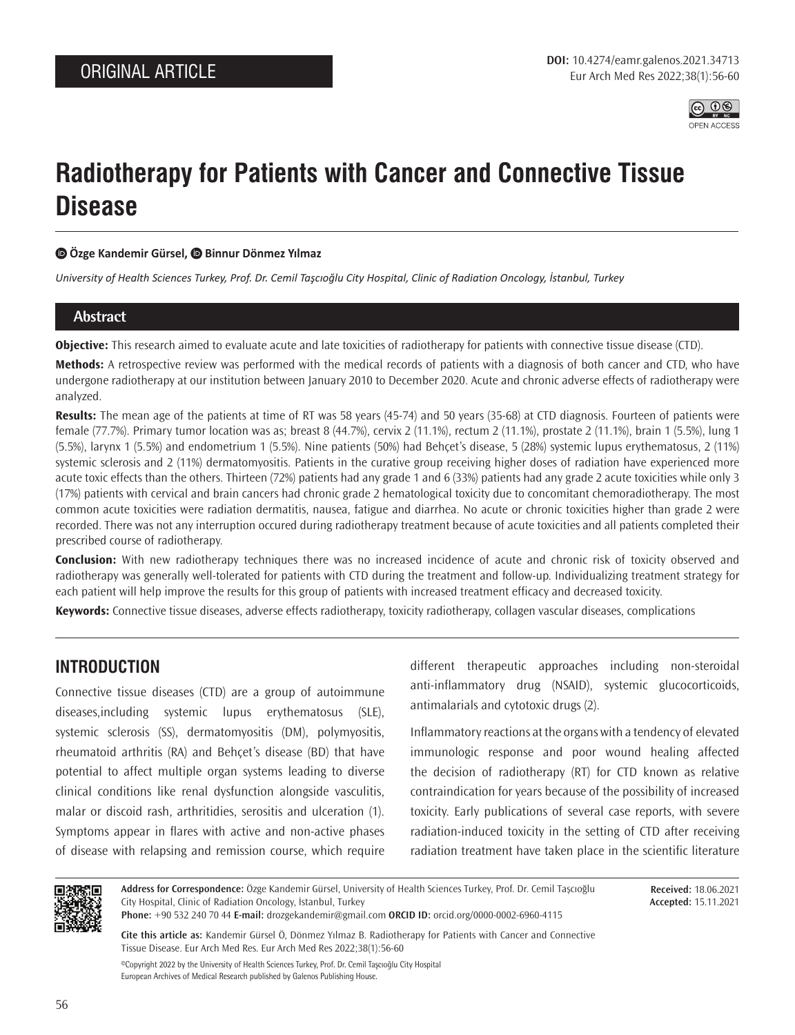

# **Radiotherapy for Patients with Cancer and Connective Tissue Disease**

## **Özge Kandemir Gürsel,Binnur Dönmez Yılmaz**

*University of Health Sciences Turkey, Prof. Dr. Cemil Taşcıoğlu City Hospital, Clinic of Radiation Oncology, İstanbul, Turkey*

## **Abstract**

**Objective:** This research aimed to evaluate acute and late toxicities of radiotherapy for patients with connective tissue disease (CTD).

**Methods:** A retrospective review was performed with the medical records of patients with a diagnosis of both cancer and CTD, who have undergone radiotherapy at our institution between January 2010 to December 2020. Acute and chronic adverse effects of radiotherapy were analyzed.

**Results:** The mean age of the patients at time of RT was 58 years (45-74) and 50 years (35-68) at CTD diagnosis. Fourteen of patients were female (77.7%). Primary tumor location was as; breast 8 (44.7%), cervix 2 (11.1%), rectum 2 (11.1%), prostate 2 (11.1%), brain 1 (5.5%), lung 1 (5.5%), larynx 1 (5.5%) and endometrium 1 (5.5%). Nine patients (50%) had Behçet's disease, 5 (28%) systemic lupus erythematosus, 2 (11%) systemic sclerosis and 2 (11%) dermatomyositis. Patients in the curative group receiving higher doses of radiation have experienced more acute toxic effects than the others. Thirteen (72%) patients had any grade 1 and 6 (33%) patients had any grade 2 acute toxicities while only 3 (17%) patients with cervical and brain cancers had chronic grade 2 hematological toxicity due to concomitant chemoradiotherapy. The most common acute toxicities were radiation dermatitis, nausea, fatigue and diarrhea. No acute or chronic toxicities higher than grade 2 were recorded. There was not any interruption occured during radiotherapy treatment because of acute toxicities and all patients completed their prescribed course of radiotherapy.

**Conclusion:** With new radiotherapy techniques there was no increased incidence of acute and chronic risk of toxicity observed and radiotherapy was generally well-tolerated for patients with CTD during the treatment and follow-up. Individualizing treatment strategy for each patient will help improve the results for this group of patients with increased treatment efficacy and decreased toxicity.

**Keywords:** Connective tissue diseases, adverse effects radiotherapy, toxicity radiotherapy, collagen vascular diseases, complications

# **INTRODUCTION**

Connective tissue diseases (CTD) are a group of autoimmune diseases,including systemic lupus erythematosus (SLE), systemic sclerosis (SS), dermatomyositis (DM), polymyositis, rheumatoid arthritis (RA) and Behçet's disease (BD) that have potential to affect multiple organ systems leading to diverse clinical conditions like renal dysfunction alongside vasculitis, malar or discoid rash, arthritidies, serositis and ulceration (1). Symptoms appear in flares with active and non-active phases of disease with relapsing and remission course, which require different therapeutic approaches including non-steroidal anti-inflammatory drug (NSAID), systemic glucocorticoids, antimalarials and cytotoxic drugs (2).

Inflammatory reactions at the organs with a tendency of elevated immunologic response and poor wound healing affected the decision of radiotherapy (RT) for CTD known as relative contraindication for years because of the possibility of increased toxicity. Early publications of several case reports, with severe radiation-induced toxicity in the setting of CTD after receiving radiation treatment have taken place in the scientific literature



**Address for Correspondence:** Özge Kandemir Gürsel, University of Health Sciences Turkey, Prof. Dr. Cemil Taşcıoğlu City Hospital, Clinic of Radiation Oncology, İstanbul, Turkey

**Received:** 18.06.2021 **Accepted:** 15.11.2021

**Phone:** +90 532 240 70 44 **E-mail:** drozgekandemir@gmail.com **ORCID ID:** orcid.org/0000-0002-6960-4115

**Cite this article as:** Kandemir Gürsel Ö, Dönmez Yılmaz B. Radiotherapy for Patients with Cancer and Connective Tissue Disease. Eur Arch Med Res. Eur Arch Med Res 2022;38(1):56-60

©Copyright 2022 by the University of Health Sciences Turkey, Prof. Dr. Cemil Taşcıoğlu City Hospital European Archives of Medical Research published by Galenos Publishing House.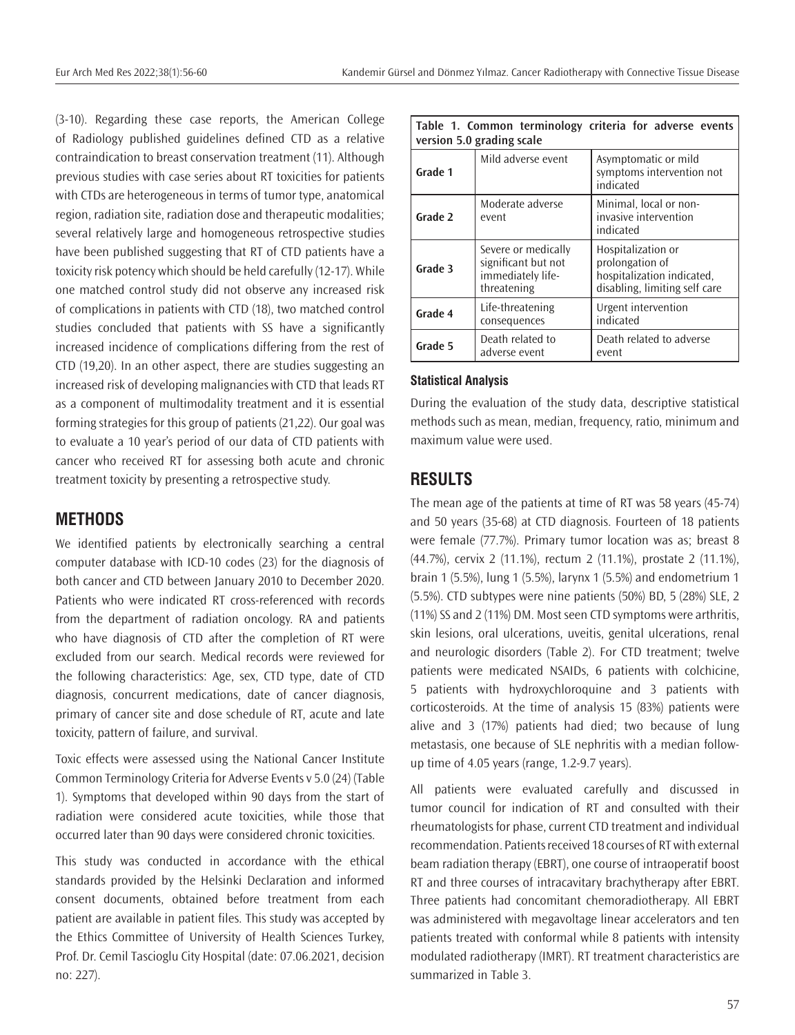(3-10). Regarding these case reports, the American College of Radiology published guidelines defined CTD as a relative contraindication to breast conservation treatment (11). Although previous studies with case series about RT toxicities for patients with CTDs are heterogeneous in terms of tumor type, anatomical region, radiation site, radiation dose and therapeutic modalities; several relatively large and homogeneous retrospective studies have been published suggesting that RT of CTD patients have a toxicity risk potency which should be held carefully (12-17). While one matched control study did not observe any increased risk of complications in patients with CTD (18), two matched control studies concluded that patients with SS have a significantly increased incidence of complications differing from the rest of CTD (19,20). In an other aspect, there are studies suggesting an increased risk of developing malignancies with CTD that leads RT as a component of multimodality treatment and it is essential forming strategies for this group of patients (21,22). Our goal was to evaluate a 10 year's period of our data of CTD patients with cancer who received RT for assessing both acute and chronic treatment toxicity by presenting a retrospective study.

## **METHODS**

We identified patients by electronically searching a central computer database with ICD-10 codes (23) for the diagnosis of both cancer and CTD between January 2010 to December 2020. Patients who were indicated RT cross-referenced with records from the department of radiation oncology. RA and patients who have diagnosis of CTD after the completion of RT were excluded from our search. Medical records were reviewed for the following characteristics: Age, sex, CTD type, date of CTD diagnosis, concurrent medications, date of cancer diagnosis, primary of cancer site and dose schedule of RT, acute and late toxicity, pattern of failure, and survival.

Toxic effects were assessed using the National Cancer Institute Common Terminology Criteria for Adverse Events v 5.0 (24) (Table 1). Symptoms that developed within 90 days from the start of radiation were considered acute toxicities, while those that occurred later than 90 days were considered chronic toxicities.

This study was conducted in accordance with the ethical standards provided by the Helsinki Declaration and informed consent documents, obtained before treatment from each patient are available in patient files. This study was accepted by the Ethics Committee of University of Health Sciences Turkey, Prof. Dr. Cemil Tascioglu City Hospital (date: 07.06.2021, decision no: 227).

| Table 1. Common terminology criteria for adverse events<br>version 5.0 grading scale |                                                                                |                                                                                                      |  |  |
|--------------------------------------------------------------------------------------|--------------------------------------------------------------------------------|------------------------------------------------------------------------------------------------------|--|--|
| Grade 1                                                                              | Mild adverse event                                                             | Asymptomatic or mild<br>symptoms intervention not<br>indicated                                       |  |  |
| Grade 2                                                                              | Moderate adverse<br>event                                                      | Minimal, local or non-<br>invasive intervention<br>indicated                                         |  |  |
| Grade 3                                                                              | Severe or medically<br>significant but not<br>immediately life-<br>threatening | Hospitalization or<br>prolongation of<br>hospitalization indicated,<br>disabling, limiting self care |  |  |
| Grade 4                                                                              | Life-threatening<br>consequences                                               | Urgent intervention<br>indicated                                                                     |  |  |
| Grade 5                                                                              | Death related to<br>adverse event.                                             | Death related to adverse<br>event                                                                    |  |  |

#### **Statistical Analysis**

During the evaluation of the study data, descriptive statistical methods such as mean, median, frequency, ratio, minimum and maximum value were used.

## **RESULTS**

The mean age of the patients at time of RT was 58 years (45-74) and 50 years (35-68) at CTD diagnosis. Fourteen of 18 patients were female (77.7%). Primary tumor location was as; breast 8 (44.7%), cervix 2 (11.1%), rectum 2 (11.1%), prostate 2 (11.1%), brain 1 (5.5%), lung 1 (5.5%), larynx 1 (5.5%) and endometrium 1 (5.5%). CTD subtypes were nine patients (50%) BD, 5 (28%) SLE, 2 (11%) SS and 2 (11%) DM. Most seen CTD symptoms were arthritis, skin lesions, oral ulcerations, uveitis, genital ulcerations, renal and neurologic disorders (Table 2). For CTD treatment; twelve patients were medicated NSAIDs, 6 patients with colchicine, 5 patients with hydroxychloroquine and 3 patients with corticosteroids. At the time of analysis 15 (83%) patients were alive and 3 (17%) patients had died; two because of lung metastasis, one because of SLE nephritis with a median followup time of 4.05 years (range, 1.2-9.7 years).

All patients were evaluated carefully and discussed in tumor council for indication of RT and consulted with their rheumatologists for phase, current CTD treatment and individual recommendation. Patients received 18 courses of RT with external beam radiation therapy (EBRT), one course of intraoperatif boost RT and three courses of intracavitary brachytherapy after EBRT. Three patients had concomitant chemoradiotherapy. All EBRT was administered with megavoltage linear accelerators and ten patients treated with conformal while 8 patients with intensity modulated radiotherapy (IMRT). RT treatment characteristics are summarized in Table 3.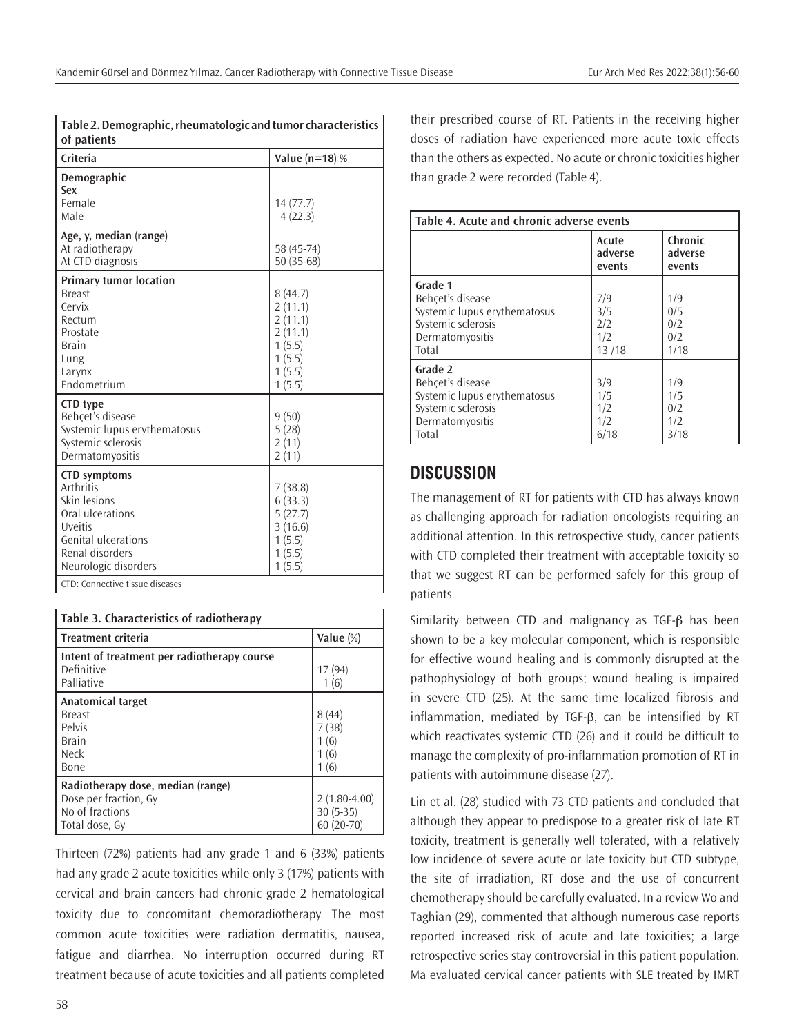| Table 2. Demographic, rheumatologic and tumor characteristics<br>of patients                                                                                                                       |                                                                                  |  |  |  |
|----------------------------------------------------------------------------------------------------------------------------------------------------------------------------------------------------|----------------------------------------------------------------------------------|--|--|--|
| Criteria                                                                                                                                                                                           | Value ( $n=18$ ) %                                                               |  |  |  |
| Demographic<br>Sex<br>Female<br>Male                                                                                                                                                               | 14(77.7)<br>4(22.3)                                                              |  |  |  |
| Age, y, median (range)<br>At radiotherapy<br>At CTD diagnosis                                                                                                                                      | 58 (45-74)<br>50 (35-68)                                                         |  |  |  |
| <b>Primary tumor location</b><br><b>Breast</b><br>Cervix<br>Rectum<br>Prostate<br><b>Brain</b><br>Lung<br>Larynx<br>Endometrium                                                                    | 8(44.7)<br>2(11.1)<br>2(11.1)<br>2(11.1)<br>1(5.5)<br>1(5.5)<br>1(5.5)<br>1(5.5) |  |  |  |
| <b>CTD</b> type<br>Behcet's disease<br>Systemic lupus erythematosus<br>Systemic sclerosis<br>Dermatomyositis                                                                                       | 9(50)<br>5(28)<br>2(11)<br>2(11)                                                 |  |  |  |
| <b>CTD</b> symptoms<br><b>Arthritis</b><br>Skin lesions<br>Oral ulcerations<br>Uveitis<br><b>Genital ulcerations</b><br>Renal disorders<br>Neurologic disorders<br>CTD: Connective tissue diseases | 7(38.8)<br>6(33.3)<br>5(27.7)<br>3(16.6)<br>1(5.5)<br>1(5.5)<br>1(5.5)           |  |  |  |

| Table 3. Characteristics of radiotherapy                                                        |                                  |  |  |
|-------------------------------------------------------------------------------------------------|----------------------------------|--|--|
| <b>Treatment criteria</b>                                                                       | Value (%)                        |  |  |
| Intent of treatment per radiotherapy course<br>Definitive<br>Palliative                         | 17 (94)<br>1(6)                  |  |  |
| Anatomical target<br><b>Breast</b><br>Pelvis<br><b>Brain</b><br><b>Neck</b><br>Bone             | 8(44)<br>(38)<br>6<br>(6)<br>(6) |  |  |
| Radiotherapy dose, median (range)<br>Dose per fraction, Gy<br>No of fractions<br>Total dose, Gy | $2(1.80-4.00)$<br>$30(5-35)$     |  |  |

Thirteen (72%) patients had any grade 1 and 6 (33%) patients had any grade 2 acute toxicities while only 3 (17%) patients with cervical and brain cancers had chronic grade 2 hematological toxicity due to concomitant chemoradiotherapy. The most common acute toxicities were radiation dermatitis, nausea, fatigue and diarrhea. No interruption occurred during RT treatment because of acute toxicities and all patients completed

their prescribed course of RT. Patients in the receiving higher doses of radiation have experienced more acute toxic effects than the others as expected. No acute or chronic toxicities higher than grade 2 were recorded (Table 4).

| Table 4. Acute and chronic adverse events                                                                     |                                   |                                  |  |  |
|---------------------------------------------------------------------------------------------------------------|-----------------------------------|----------------------------------|--|--|
|                                                                                                               | Acute<br>adverse<br>events        | Chronic<br>adverse<br>events     |  |  |
| Grade 1<br>Behçet's disease<br>Systemic lupus erythematosus<br>Systemic sclerosis<br>Dermatomyositis<br>Total | 7/9<br>3/5<br>2/2<br>1/2<br>13/18 | 1/9<br>0/5<br>0/2<br>0/2<br>1/18 |  |  |
| Grade 2<br>Behçet's disease<br>Systemic lupus erythematosus<br>Systemic sclerosis<br>Dermatomyositis<br>Total | 3/9<br>1/5<br>1/2<br>1/2<br>6/18  | 1/9<br>1/5<br>0/2<br>1/2<br>3/18 |  |  |

# **DISCUSSION**

The management of RT for patients with CTD has always known as challenging approach for radiation oncologists requiring an additional attention. In this retrospective study, cancer patients with CTD completed their treatment with acceptable toxicity so that we suggest RT can be performed safely for this group of patients.

Similarity between CTD and malignancy as TGF-β has been shown to be a key molecular component, which is responsible for effective wound healing and is commonly disrupted at the pathophysiology of both groups; wound healing is impaired in severe CTD (25). At the same time localized fibrosis and inflammation, mediated by TGF-β, can be intensified by RT which reactivates systemic CTD (26) and it could be difficult to manage the complexity of pro-inflammation promotion of RT in patients with autoimmune disease (27).

Lin et al. (28) studied with 73 CTD patients and concluded that although they appear to predispose to a greater risk of late RT toxicity, treatment is generally well tolerated, with a relatively low incidence of severe acute or late toxicity but CTD subtype, the site of irradiation, RT dose and the use of concurrent chemotherapy should be carefully evaluated. In a review Wo and Taghian (29), commented that although numerous case reports reported increased risk of acute and late toxicities; a large retrospective series stay controversial in this patient population. Ma evaluated cervical cancer patients with SLE treated by IMRT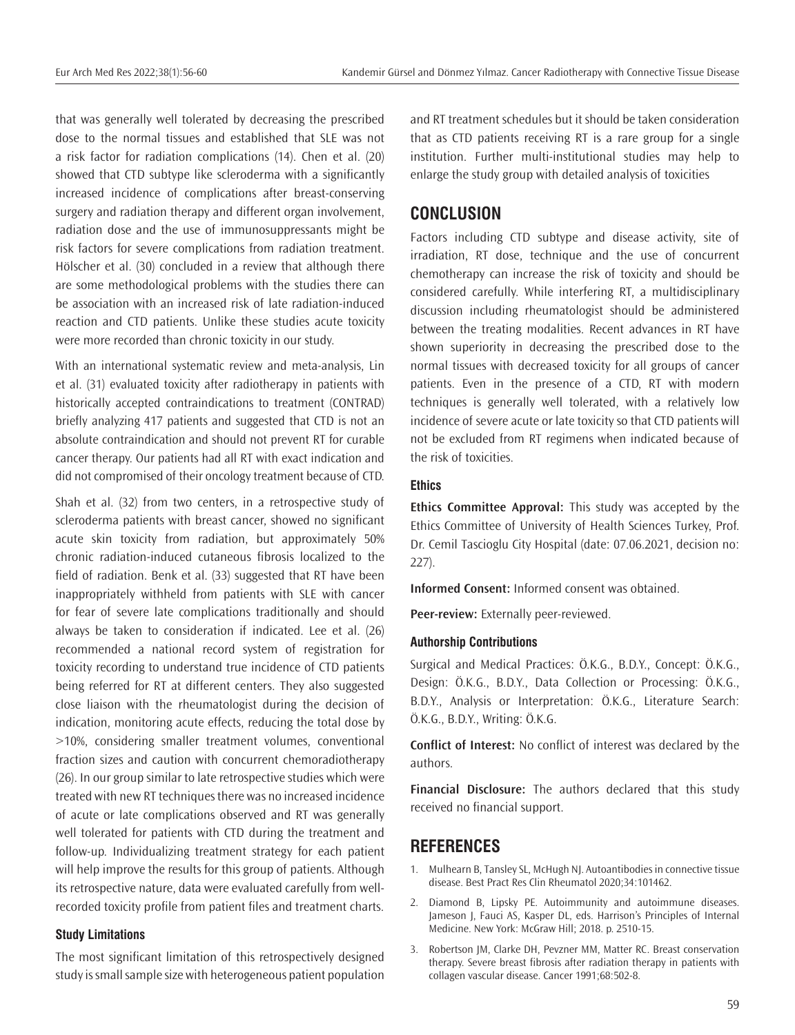that was generally well tolerated by decreasing the prescribed dose to the normal tissues and established that SLE was not a risk factor for radiation complications (14). Chen et al. (20) showed that CTD subtype like scleroderma with a significantly increased incidence of complications after breast-conserving surgery and radiation therapy and different organ involvement, radiation dose and the use of immunosuppressants might be risk factors for severe complications from radiation treatment. Hölscher et al. (30) concluded in a review that although there are some methodological problems with the studies there can be association with an increased risk of late radiation-induced reaction and CTD patients. Unlike these studies acute toxicity were more recorded than chronic toxicity in our study.

With an international systematic review and meta-analysis, Lin et al. (31) evaluated toxicity after radiotherapy in patients with historically accepted contraindications to treatment (CONTRAD) briefly analyzing 417 patients and suggested that CTD is not an absolute contraindication and should not prevent RT for curable cancer therapy. Our patients had all RT with exact indication and did not compromised of their oncology treatment because of CTD.

Shah et al. (32) from two centers, in a retrospective study of scleroderma patients with breast cancer, showed no significant acute skin toxicity from radiation, but approximately 50% chronic radiation-induced cutaneous fibrosis localized to the field of radiation. Benk et al. (33) suggested that RT have been inappropriately withheld from patients with SLE with cancer for fear of severe late complications traditionally and should always be taken to consideration if indicated. Lee et al. (26) recommended a national record system of registration for toxicity recording to understand true incidence of CTD patients being referred for RT at different centers. They also suggested close liaison with the rheumatologist during the decision of indication, monitoring acute effects, reducing the total dose by >10%, considering smaller treatment volumes, conventional fraction sizes and caution with concurrent chemoradiotherapy (26). In our group similar to late retrospective studies which were treated with new RT techniques there was no increased incidence of acute or late complications observed and RT was generally well tolerated for patients with CTD during the treatment and follow-up. Individualizing treatment strategy for each patient will help improve the results for this group of patients. Although its retrospective nature, data were evaluated carefully from wellrecorded toxicity profile from patient files and treatment charts.

#### **Study Limitations**

The most significant limitation of this retrospectively designed study is small sample size with heterogeneous patient population and RT treatment schedules but it should be taken consideration that as CTD patients receiving RT is a rare group for a single institution. Further multi-institutional studies may help to enlarge the study group with detailed analysis of toxicities

## **CONCLUSION**

Factors including CTD subtype and disease activity, site of irradiation, RT dose, technique and the use of concurrent chemotherapy can increase the risk of toxicity and should be considered carefully. While interfering RT, a multidisciplinary discussion including rheumatologist should be administered between the treating modalities. Recent advances in RT have shown superiority in decreasing the prescribed dose to the normal tissues with decreased toxicity for all groups of cancer patients. Even in the presence of a CTD, RT with modern techniques is generally well tolerated, with a relatively low incidence of severe acute or late toxicity so that CTD patients will not be excluded from RT regimens when indicated because of the risk of toxicities.

## **Ethics**

**Ethics Committee Approval:** This study was accepted by the Ethics Committee of University of Health Sciences Turkey, Prof. Dr. Cemil Tascioglu City Hospital (date: 07.06.2021, decision no: 227).

**Informed Consent:** Informed consent was obtained.

**Peer-review:** Externally peer-reviewed.

#### **Authorship Contributions**

Surgical and Medical Practices: Ö.K.G., B.D.Y., Concept: Ö.K.G., Design: Ö.K.G., B.D.Y., Data Collection or Processing: Ö.K.G., B.D.Y., Analysis or Interpretation: Ö.K.G., Literature Search: Ö.K.G., B.D.Y., Writing: Ö.K.G.

**Conflict of Interest:** No conflict of interest was declared by the authors.

**Financial Disclosure:** The authors declared that this study received no financial support.

## **REFERENCES**

- 1. Mulhearn B, Tansley SL, McHugh NJ. Autoantibodies in connective tissue disease. Best Pract Res Clin Rheumatol 2020;34:101462.
- 2. Diamond B, Lipsky PE. Autoimmunity and autoimmune diseases. Jameson J, Fauci AS, Kasper DL, eds. Harrison's Principles of Internal Medicine. New York: McGraw Hill; 2018. p. 2510-15.
- 3. Robertson JM, Clarke DH, Pevzner MM, Matter RC. Breast conservation therapy. Severe breast fibrosis after radiation therapy in patients with collagen vascular disease. Cancer 1991;68:502-8.